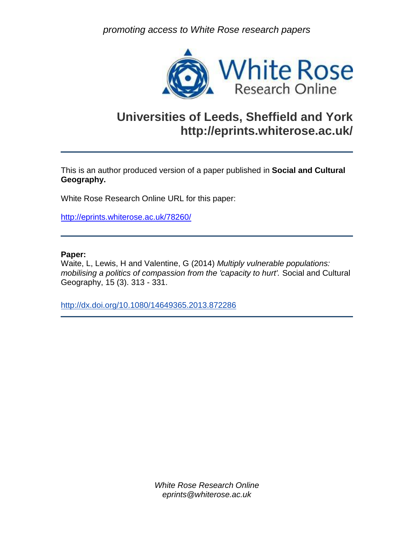*promoting access to White Rose research papers*



# **Universities of Leeds, Sheffield and York http://eprints.whiterose.ac.uk/**

This is an author produced version of a paper published in **Social and Cultural Geography.**

White Rose Research Online URL for this paper:

<http://eprints.whiterose.ac.uk/78260/>

# **Paper:**

Waite, L, Lewis, H and Valentine, G (2014) *Multiply vulnerable populations: mobilising a politics of compassion from the 'capacity to hurt'.* Social and Cultural Geography, 15 (3). 313 - 331.

<http://dx.doi.org/10.1080/14649365.2013.872286>

*White Rose Research Online eprints@whiterose.ac.uk*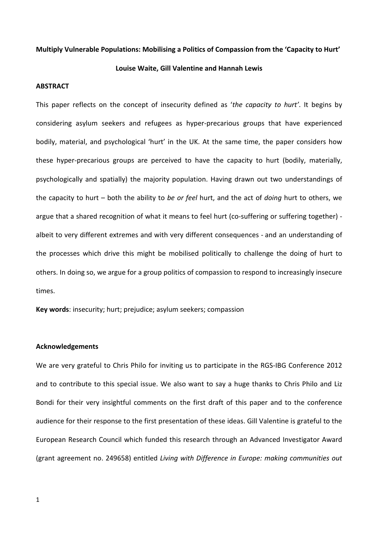#### **Multiply Vulnerable Populations: Mobilising a Politics of Compassion from the 'Capacity to Hurt'**

#### **Louise Waite, Gill Valentine and Hannah Lewis**

#### **ABSTRACT**

This paper reflects on the concept of insecurity defined as '*the capacity to hurt'*. It begins by considering asylum seekers and refugees as hyper-precarious groups that have experienced bodily, material, and psychological 'hurt' in the UK. At the same time, the paper considers how these hyper-precarious groups are perceived to have the capacity to hurt (bodily, materially, psychologically and spatially) the majority population. Having drawn out two understandings of the capacity to hurt – both the ability to *be or feel* hurt, and the act of *doing* hurt to others, we argue that a shared recognition of what it means to feel hurt (co-suffering or suffering together) albeit to very different extremes and with very different consequences - and an understanding of the processes which drive this might be mobilised politically to challenge the doing of hurt to others. In doing so, we argue for a group politics of compassion to respond to increasingly insecure times.

**Key words**: insecurity; hurt; prejudice; asylum seekers; compassion

## **Acknowledgements**

We are very grateful to Chris Philo for inviting us to participate in the RGS-IBG Conference 2012 and to contribute to this special issue. We also want to say a huge thanks to Chris Philo and Liz Bondi for their very insightful comments on the first draft of this paper and to the conference audience for their response to the first presentation of these ideas. Gill Valentine is grateful to the European Research Council which funded this research through an Advanced Investigator Award (grant agreement no. 249658) entitled *Living with Difference in Europe: making communities out*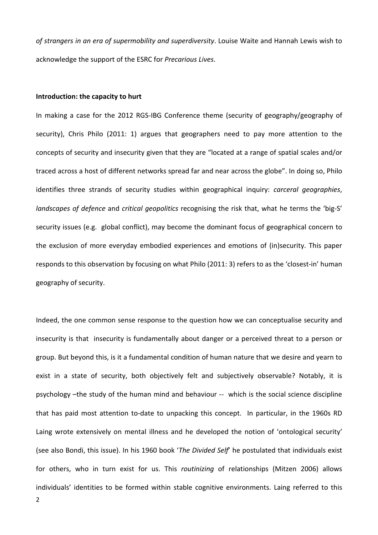*of strangers in an era of supermobility and superdiversity*. Louise Waite and Hannah Lewis wish to acknowledge the support of the ESRC for *Precarious Lives*.

## **Introduction: the capacity to hurt**

In making a case for the 2012 RGS-IBG Conference theme (security of geography/geography of security), Chris Philo (2011: 1) argues that geographers need to pay more attention to the concepts of security and insecurity given that they are "located at a range of spatial scales and/or traced across a host of different networks spread far and near across the globe". In doing so, Philo identifies three strands of security studies within geographical inquiry: *carceral geographies*, *landscapes of defence* and *critical geopolitics* recognising the risk that, what he terms the 'big-S' security issues (e.g. global conflict), may become the dominant focus of geographical concern to the exclusion of more everyday embodied experiences and emotions of (in)security. This paper responds to this observation by focusing on what Philo (2011: 3) refers to as the 'closest-in' human geography of security.

Indeed, the one common sense response to the question how we can conceptualise security and insecurity is that insecurity is fundamentally about danger or a perceived threat to a person or group. But beyond this, is it a fundamental condition of human nature that we desire and yearn to exist in a state of security, both objectively felt and subjectively observable? Notably, it is psychology –the study of the human mind and behaviour -- which is the social science discipline that has paid most attention to-date to unpacking this concept. In particular, in the 1960s RD Laing wrote extensively on mental illness and he developed the notion of 'ontological security' (see also Bondi, this issue). In his 1960 book '*The Divided Self*' he postulated that individuals exist for others, who in turn exist for us. This *routinizing* of relationships (Mitzen 2006) allows individuals' identities to be formed within stable cognitive environments. Laing referred to this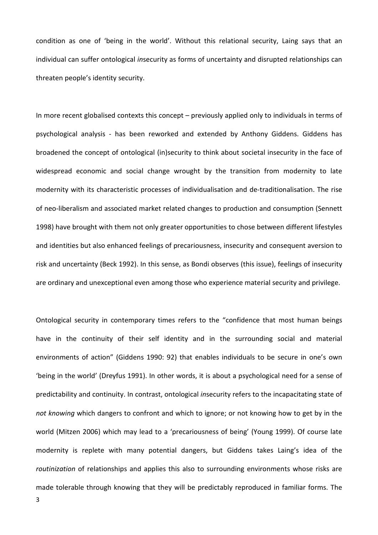condition as one of 'being in the world'. Without this relational security, Laing says that an individual can suffer ontological *in*security as forms of uncertainty and disrupted relationships can threaten people's identity security.

In more recent globalised contexts this concept – previously applied only to individuals in terms of psychological analysis - has been reworked and extended by Anthony Giddens. Giddens has broadened the concept of ontological (in)security to think about societal insecurity in the face of widespread economic and social change wrought by the transition from modernity to late modernity with its characteristic processes of individualisation and de-traditionalisation. The rise of neo-liberalism and associated market related changes to production and consumption (Sennett 1998) have brought with them not only greater opportunities to chose between different lifestyles and identities but also enhanced feelings of precariousness, insecurity and consequent aversion to risk and uncertainty (Beck 1992). In this sense, as Bondi observes (this issue), feelings of insecurity are ordinary and unexceptional even among those who experience material security and privilege.

Ontological security in contemporary times refers to the "confidence that most human beings have in the continuity of their self identity and in the surrounding social and material environments of action" (Giddens 1990: 92) that enables individuals to be secure in one's own 'being in the world' (Dreyfus 1991). In other words, it is about a psychological need for a sense of predictability and continuity. In contrast, ontological *in*security refers to the incapacitating state of *not knowing* which dangers to confront and which to ignore; or not knowing how to get by in the world (Mitzen 2006) which may lead to a 'precariousness of being' (Young 1999). Of course late modernity is replete with many potential dangers, but Giddens takes Laing's idea of the *routinization* of relationships and applies this also to surrounding environments whose risks are made tolerable through knowing that they will be predictably reproduced in familiar forms. The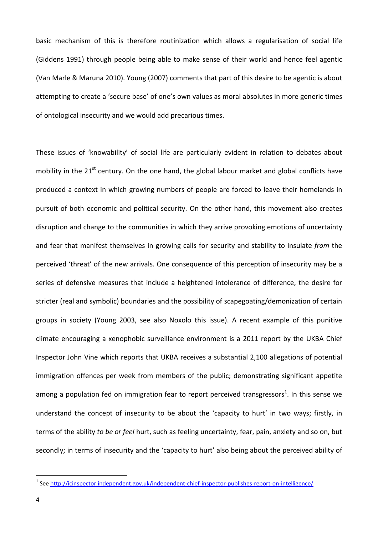basic mechanism of this is therefore routinization which allows a regularisation of social life (Giddens 1991) through people being able to make sense of their world and hence feel agentic (Van Marle & Maruna 2010). Young (2007) comments that part of this desire to be agentic is about attempting to create a 'secure base' of one's own values as moral absolutes in more generic times of ontological insecurity and we would add precarious times.

These issues of 'knowability' of social life are particularly evident in relation to debates about mobility in the 21<sup>st</sup> century. On the one hand, the global labour market and global conflicts have produced a context in which growing numbers of people are forced to leave their homelands in pursuit of both economic and political security. On the other hand, this movement also creates disruption and change to the communities in which they arrive provoking emotions of uncertainty and fear that manifest themselves in growing calls for security and stability to insulate *from* the perceived 'threat' of the new arrivals. One consequence of this perception of insecurity may be a series of defensive measures that include a heightened intolerance of difference, the desire for stricter (real and symbolic) boundaries and the possibility of scapegoating/demonization of certain groups in society (Young 2003, see also Noxolo this issue). A recent example of this punitive climate encouraging a xenophobic surveillance environment is a 2011 report by the UKBA Chief Inspector John Vine which reports that UKBA receives a substantial 2,100 allegations of potential immigration offences per week from members of the public; demonstrating significant appetite among a population fed on immigration fear to report perceived transgressors<sup>1</sup>[.](#page-4-0) In this sense we understand the concept of insecurity to be about the 'capacity to hurt' in two ways; firstly, in terms of the ability *to be or feel* hurt, such as feeling uncertainty, fear, pain, anxiety and so on, but secondly; in terms of insecurity and the 'capacity to hurt' also being about the perceived ability of

<span id="page-4-0"></span><sup>&</sup>lt;sup>1</sup> See <u>http://icinspector.independent.gov.uk/independent-chief-inspector-publishes-report-on-intelligence/</u>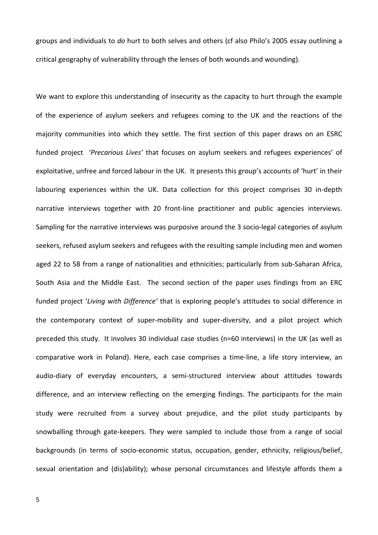groups and individuals to *do* hurt to both selves and others (cf also Philo's 2005 essay outlining a critical geography of vulnerability through the lenses of both wounds and wounding).

We want to explore this understanding of insecurity as the capacity to hurt through the example of the experience of asylum seekers and refugees coming to the UK and the reactions of the majority communities into which they settle. The first section of this paper draws on an ESRC funded project '*Precarious Lives'* that focuses on asylum seekers and refugees experiences' of exploitative, unfree and forced labour in the UK. It presents this group's accounts of 'hurt' in their labouring experiences within the UK. Data collection for this project comprises 30 in-depth narrative interviews together with 20 front-line practitioner and public agencies interviews. Sampling for the narrative interviews was purposive around the 3 socio-legal categories of asylum seekers, refused asylum seekers and refugees with the resulting sample including men and women aged 22 to 58 from a range of nationalities and ethnicities; particularly from sub-Saharan Africa, South Asia and the Middle East. The second section of the paper uses findings from an ERC funded project '*Living with Difference'* that is exploring people's attitudes to social difference in the contemporary context of super-mobility and super-diversity, and a pilot project which preceded this study. It involves 30 individual case studies (n=60 interviews) in the UK (as well as comparative work in Poland). Here, each case comprises a time-line, a life story interview, an audio-diary of everyday encounters, a semi-structured interview about attitudes towards difference, and an interview reflecting on the emerging findings. The participants for the main study were recruited from a survey about prejudice, and the pilot study participants by snowballing through gate-keepers. They were sampled to include those from a range of social backgrounds (in terms of socio-economic status, occupation, gender, ethnicity, religious/belief, sexual orientation and (dis)ability); whose personal circumstances and lifestyle affords them a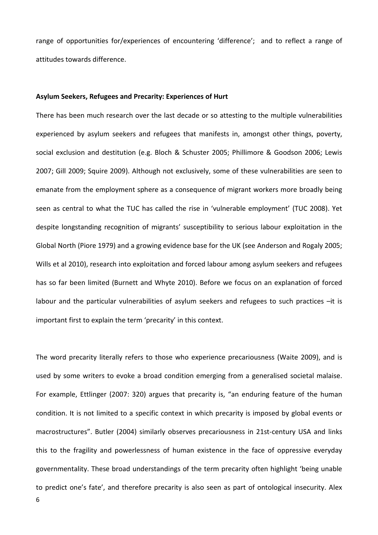range of opportunities for/experiences of encountering 'difference'; and to reflect a range of attitudes towards difference.

### **Asylum Seekers, Refugees and Precarity: Experiences of Hurt**

There has been much research over the last decade or so attesting to the multiple vulnerabilities experienced by asylum seekers and refugees that manifests in, amongst other things, poverty, social exclusion and destitution (e.g. Bloch & Schuster 2005; Phillimore & Goodson 2006; Lewis 2007; Gill 2009; Squire 2009). Although not exclusively, some of these vulnerabilities are seen to emanate from the employment sphere as a consequence of migrant workers more broadly being seen as central to what the TUC has called the rise in 'vulnerable employment' (TUC 2008). Yet despite longstanding recognition of migrants' susceptibility to serious labour exploitation in the Global North (Piore 1979) and a growing evidence base for the UK (see Anderson and Rogaly 2005; Wills et al 2010), research into exploitation and forced labour among asylum seekers and refugees has so far been limited (Burnett and Whyte 2010). Before we focus on an explanation of forced labour and the particular vulnerabilities of asylum seekers and refugees to such practices –it is important first to explain the term 'precarity' in this context.

6 The word precarity literally refers to those who experience precariousness (Waite 2009), and is used by some writers to evoke a broad condition emerging from a generalised societal malaise. For example, Ettlinger (2007: 320) argues that precarity is, "an enduring feature of the human condition. It is not limited to a specific context in which precarity is imposed by global events or macrostructures". Butler (2004) similarly observes precariousness in 21st-century USA and links this to the fragility and powerlessness of human existence in the face of oppressive everyday governmentality. These broad understandings of the term precarity often highlight 'being unable to predict one's fate', and therefore precarity is also seen as part of ontological insecurity. Alex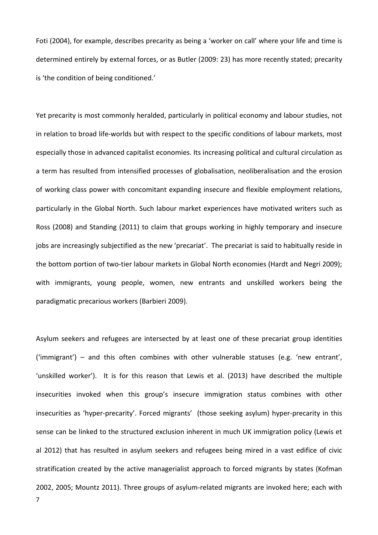Foti (2004), for example, describes precarity as being a 'worker on call' where your life and time is determined entirely by external forces, or as Butler (2009: 23) has more recently stated; precarity is 'the condition of being conditioned.'

Yet precarity is most commonly heralded, particularly in political economy and labour studies, not in relation to broad life-worlds but with respect to the specific conditions of labour markets, most especially those in advanced capitalist economies. Its increasing political and cultural circulation as a term has resulted from intensified processes of globalisation, neoliberalisation and the erosion of working class power with concomitant expanding insecure and flexible employment relations, particularly in the Global North. Such labour market experiences have motivated writers such as Ross (2008) and Standing (2011) to claim that groups working in highly temporary and insecure jobs are increasingly subjectified as the new 'precariat'. The precariat is said to habitually reside in the bottom portion of two-tier labour markets in Global North economies (Hardt and Negri 2009); with immigrants, young people, women, new entrants and unskilled workers being the paradigmatic precarious workers (Barbieri 2009).

7 Asylum seekers and refugees are intersected by at least one of these precariat group identities ('immigrant') – and this often combines with other vulnerable statuses (e.g. 'new entrant', 'unskilled worker'). It is for this reason that Lewis et al. (2013) have described the multiple insecurities invoked when this group's insecure immigration status combines with other insecurities as 'hyper-precarity'. Forced migrants' (those seeking asylum) hyper-precarity in this sense can be linked to the structured exclusion inherent in much UK immigration policy (Lewis et al 2012) that has resulted in asylum seekers and refugees being mired in a vast edifice of civic stratification created by the active managerialist approach to forced migrants by states (Kofman 2002, 2005; Mountz 2011). Three groups of asylum-related migrants are invoked here; each with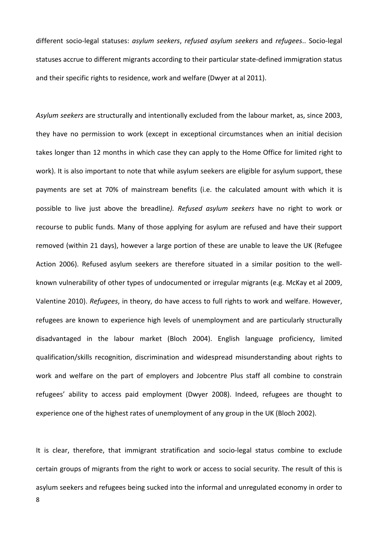different socio-legal statuses: *asylum seekers*, *refused asylum seekers* and *refugees*.. Socio-legal statuses accrue to different migrants according to their particular state-defined immigration status and their specific rights to residence, work and welfare (Dwyer at al 2011).

*Asylum seekers* are structurally and intentionally excluded from the labour market, as, since 2003, they have no permission to work (except in exceptional circumstances when an initial decision takes longer than 12 months in which case they can apply to the Home Office for limited right to work). It is also important to note that while asylum seekers are eligible for asylum support, these payments are set at 70% of mainstream benefits (i.e. the calculated amount with which it is possible to live just above the breadline*). Refused asylum seekers* have no right to work or recourse to public funds. Many of those applying for asylum are refused and have their support removed (within 21 days), however a large portion of these are unable to leave the UK (Refugee Action 2006). Refused asylum seekers are therefore situated in a similar position to the wellknown vulnerability of other types of undocumented or irregular migrants (e.g. McKay et al 2009, Valentine 2010). *Refugees*, in theory, do have access to full rights to work and welfare. However, refugees are known to experience high levels of unemployment and are particularly structurally disadvantaged in the labour market (Bloch 2004). English language proficiency, limited qualification/skills recognition, discrimination and widespread misunderstanding about rights to work and welfare on the part of employers and Jobcentre Plus staff all combine to constrain refugees' ability to access paid employment (Dwyer 2008). Indeed, refugees are thought to experience one of the highest rates of unemployment of any group in the UK (Bloch 2002).

8 It is clear, therefore, that immigrant stratification and socio-legal status combine to exclude certain groups of migrants from the right to work or access to social security. The result of this is asylum seekers and refugees being sucked into the informal and unregulated economy in order to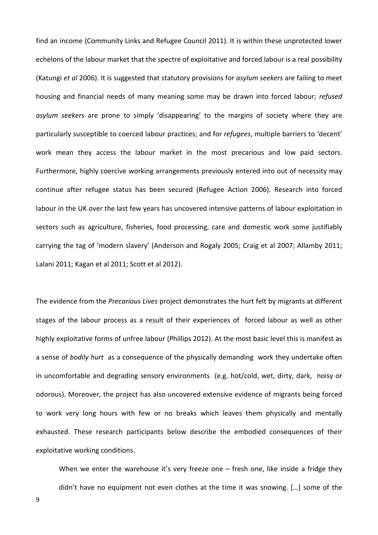find an income (Community Links and Refugee Council 2011). It is within these unprotected lower echelons of the labour market that the spectre of exploitative and forced labour is a real possibility (Katungi *et al* 2006). It is suggested that statutory provisions for *asylum seekers* are failing to meet housing and financial needs of many meaning some may be drawn into forced labour; *refused asylum seekers* are prone to simply 'disappearing' to the margins of society where they are particularly susceptible to coerced labour practices; and for *refugees*, multiple barriers to 'decent' work mean they access the labour market in the most precarious and low paid sectors. Furthermore, highly coercive working arrangements previously entered into out of necessity may continue after refugee status has been secured (Refugee Action 2006). Research into forced labour in the UK over the last few years has uncovered intensive patterns of labour exploitation in sectors such as agriculture, fisheries, food processing, care and domestic work some justifiably carrying the tag of 'modern slavery' (Anderson and Rogaly 2005; Craig et al 2007; Allamby 2011; Lalani 2011; Kagan et al 2011; Scott et al 2012).

The evidence from the *Precarious Lives* project demonstrates the hurt felt by migrants at different stages of the labour process as a result of their experiences of forced labour as well as other highly exploitative forms of unfree labour (Phillips 2012). At the most basic level this is manifest as a sense of *bodily hurt* as a consequence of the physically demanding work they undertake often in uncomfortable and degrading sensory environments (e.g. hot/cold, wet, dirty, dark, noisy or odorous). Moreover, the project has also uncovered extensive evidence of migrants being forced to work very long hours with few or no breaks which leaves them physically and mentally exhausted. These research participants below describe the embodied consequences of their exploitative working conditions.

When we enter the warehouse it's very freeze one – fresh one, like inside a fridge they didn't have no equipment not even clothes at the time it was snowing. […] some of the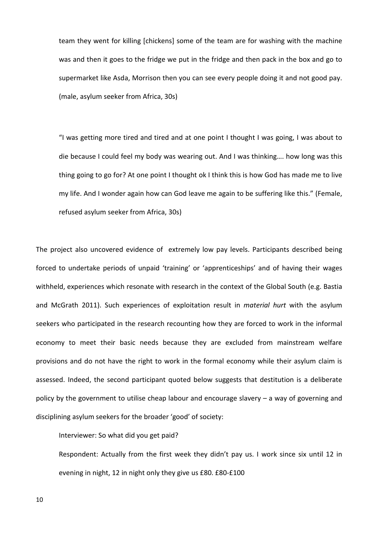team they went for killing [chickens] some of the team are for washing with the machine was and then it goes to the fridge we put in the fridge and then pack in the box and go to supermarket like Asda, Morrison then you can see every people doing it and not good pay. (male, asylum seeker from Africa, 30s)

"I was getting more tired and tired and at one point I thought I was going, I was about to die because I could feel my body was wearing out. And I was thinking…. how long was this thing going to go for? At one point I thought ok I think this is how God has made me to live my life. And I wonder again how can God leave me again to be suffering like this." (Female, refused asylum seeker from Africa, 30s)

The project also uncovered evidence of extremely low pay levels. Participants described being forced to undertake periods of unpaid 'training' or 'apprenticeships' and of having their wages withheld, experiences which resonate with research in the context of the Global South (e.g. Bastia and McGrath 2011). Such experiences of exploitation result in *material hurt* with the asylum seekers who participated in the research recounting how they are forced to work in the informal economy to meet their basic needs because they are excluded from mainstream welfare provisions and do not have the right to work in the formal economy while their asylum claim is assessed. Indeed, the second participant quoted below suggests that destitution is a deliberate policy by the government to utilise cheap labour and encourage slavery – a way of governing and disciplining asylum seekers for the broader 'good' of society:

Interviewer: So what did you get paid?

Respondent: Actually from the first week they didn't pay us. I work since six until 12 in evening in night, 12 in night only they give us £80. £80-£100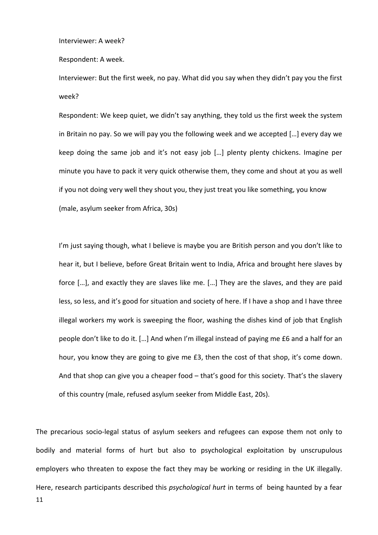Interviewer: A week?

Respondent: A week.

Interviewer: But the first week, no pay. What did you say when they didn't pay you the first week?

Respondent: We keep quiet, we didn't say anything, they told us the first week the system in Britain no pay. So we will pay you the following week and we accepted […] every day we keep doing the same job and it's not easy job […] plenty plenty chickens. Imagine per minute you have to pack it very quick otherwise them, they come and shout at you as well if you not doing very well they shout you, they just treat you like something, you know (male, asylum seeker from Africa, 30s)

I'm just saying though, what I believe is maybe you are British person and you don't like to hear it, but I believe, before Great Britain went to India, Africa and brought here slaves by force […], and exactly they are slaves like me. […] They are the slaves, and they are paid less, so less, and it's good for situation and society of here. If I have a shop and I have three illegal workers my work is sweeping the floor, washing the dishes kind of job that English people don't like to do it. […] And when I'm illegal instead of paying me £6 and a half for an hour, you know they are going to give me £3, then the cost of that shop, it's come down. And that shop can give you a cheaper food – that's good for this society. That's the slavery of this country (male, refused asylum seeker from Middle East, 20s).

11 The precarious socio-legal status of asylum seekers and refugees can expose them not only to bodily and material forms of hurt but also to psychological exploitation by unscrupulous employers who threaten to expose the fact they may be working or residing in the UK illegally. Here, research participants described this *psychological hurt* in terms of being haunted by a fear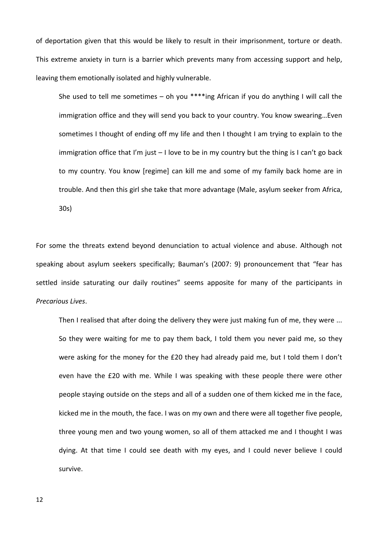of deportation given that this would be likely to result in their imprisonment, torture or death. This extreme anxiety in turn is a barrier which prevents many from accessing support and help, leaving them emotionally isolated and highly vulnerable.

She used to tell me sometimes – oh you \*\*\*\*ing African if you do anything I will call the immigration office and they will send you back to your country. You know swearing…Even sometimes I thought of ending off my life and then I thought I am trying to explain to the immigration office that I'm just  $-1$  love to be in my country but the thing is I can't go back to my country. You know [regime] can kill me and some of my family back home are in trouble. And then this girl she take that more advantage (Male, asylum seeker from Africa, 30s)

For some the threats extend beyond denunciation to actual violence and abuse. Although not speaking about asylum seekers specifically; Bauman's (2007: 9) pronouncement that "fear has settled inside saturating our daily routines" seems apposite for many of the participants in *Precarious Lives*.

Then I realised that after doing the delivery they were just making fun of me, they were ... So they were waiting for me to pay them back, I told them you never paid me, so they were asking for the money for the £20 they had already paid me, but I told them I don't even have the £20 with me. While I was speaking with these people there were other people staying outside on the steps and all of a sudden one of them kicked me in the face, kicked me in the mouth, the face. I was on my own and there were all together five people, three young men and two young women, so all of them attacked me and I thought I was dying. At that time I could see death with my eyes, and I could never believe I could survive.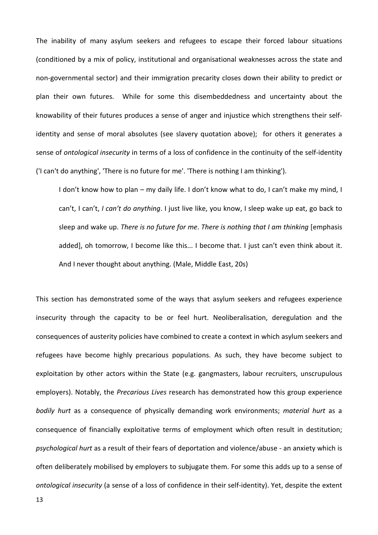The inability of many asylum seekers and refugees to escape their forced labour situations (conditioned by a mix of policy, institutional and organisational weaknesses across the state and non-governmental sector) and their immigration precarity closes down their ability to predict or plan their own futures. While for some this disembeddedness and uncertainty about the knowability of their futures produces a sense of anger and injustice which strengthens their selfidentity and sense of moral absolutes (see slavery quotation above); for others it generates a sense of *ontological insecurity* in terms of a loss of confidence in the continuity of the self-identity ('I can't do anything', 'There is no future for me'. 'There is nothing I am thinking').

I don't know how to plan – my daily life. I don't know what to do, I can't make my mind, I can't, I can't, *I can't do anything*. I just live like, you know, I sleep wake up eat, go back to sleep and wake up. *There is no future for me*. *There is nothing that I am thinking* [emphasis added], oh tomorrow, I become like this... I become that. I just can't even think about it. And I never thought about anything. (Male, Middle East, 20s)

This section has demonstrated some of the ways that asylum seekers and refugees experience insecurity through the capacity to be or feel hurt. Neoliberalisation, deregulation and the consequences of austerity policies have combined to create a context in which asylum seekers and refugees have become highly precarious populations. As such, they have become subject to exploitation by other actors within the State (e.g. gangmasters, labour recruiters, unscrupulous employers). Notably, the *Precarious Lives* research has demonstrated how this group experience *bodily hurt* as a consequence of physically demanding work environments; *material hurt* as a consequence of financially exploitative terms of employment which often result in destitution; *psychological hurt* as a result of their fears of deportation and violence/abuse - an anxiety which is often deliberately mobilised by employers to subjugate them. For some this adds up to a sense of *ontological insecurity* (a sense of a loss of confidence in their self-identity). Yet, despite the extent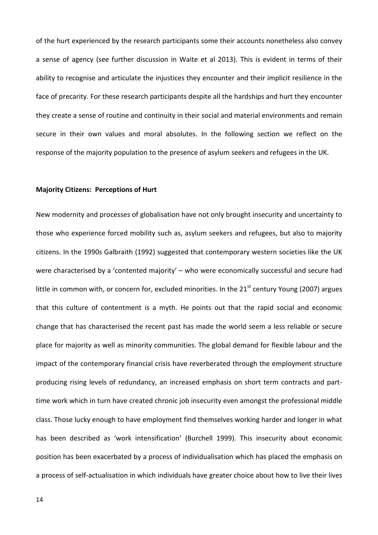of the hurt experienced by the research participants some their accounts nonetheless also convey a sense of agency (see further discussion in Waite et al 2013). This is evident in terms of their ability to recognise and articulate the injustices they encounter and their implicit resilience in the face of precarity. For these research participants despite all the hardships and hurt they encounter they create a sense of routine and continuity in their social and material environments and remain secure in their own values and moral absolutes. In the following section we reflect on the response of the majority population to the presence of asylum seekers and refugees in the UK.

## **Majority Citizens: Perceptions of Hurt**

New modernity and processes of globalisation have not only brought insecurity and uncertainty to those who experience forced mobility such as, asylum seekers and refugees, but also to majority citizens. In the 1990s Galbraith (1992) suggested that contemporary western societies like the UK were characterised by a 'contented majority' – who were economically successful and secure had little in common with, or concern for, excluded minorities. In the  $21<sup>st</sup>$  century Young (2007) argues that this culture of contentment is a myth. He points out that the rapid social and economic change that has characterised the recent past has made the world seem a less reliable or secure place for majority as well as minority communities. The global demand for flexible labour and the impact of the contemporary financial crisis have reverberated through the employment structure producing rising levels of redundancy, an increased emphasis on short term contracts and parttime work which in turn have created chronic job insecurity even amongst the professional middle class. Those lucky enough to have employment find themselves working harder and longer in what has been described as 'work intensification' (Burchell 1999). This insecurity about economic position has been exacerbated by a process of individualisation which has placed the emphasis on a process of self-actualisation in which individuals have greater choice about how to live their lives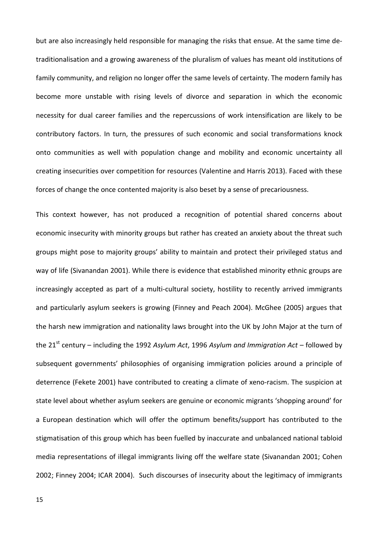but are also increasingly held responsible for managing the risks that ensue. At the same time detraditionalisation and a growing awareness of the pluralism of values has meant old institutions of family community, and religion no longer offer the same levels of certainty. The modern family has become more unstable with rising levels of divorce and separation in which the economic necessity for dual career families and the repercussions of work intensification are likely to be contributory factors. In turn, the pressures of such economic and social transformations knock onto communities as well with population change and mobility and economic uncertainty all creating insecurities over competition for resources (Valentine and Harris 2013). Faced with these forces of change the once contented majority is also beset by a sense of precariousness.

This context however, has not produced a recognition of potential shared concerns about economic insecurity with minority groups but rather has created an anxiety about the threat such groups might pose to majority groups' ability to maintain and protect their privileged status and way of life (Sivanandan 2001). While there is evidence that established minority ethnic groups are increasingly accepted as part of a multi-cultural society, hostility to recently arrived immigrants and particularly asylum seekers is growing (Finney and Peach 2004). McGhee (2005) argues that the harsh new immigration and nationality laws brought into the UK by John Major at the turn of the 21st century – including the 1992 *Asylum Act*, 1996 *Asylum and Immigration Act* – followed by subsequent governments' philosophies of organising immigration policies around a principle of deterrence (Fekete 2001) have contributed to creating a climate of xeno-racism. The suspicion at state level about whether asylum seekers are genuine or economic migrants 'shopping around' for a European destination which will offer the optimum benefits/support has contributed to the stigmatisation of this group which has been fuelled by inaccurate and unbalanced national tabloid media representations of illegal immigrants living off the welfare state (Sivanandan 2001; Cohen 2002; Finney 2004; ICAR 2004). Such discourses of insecurity about the legitimacy of immigrants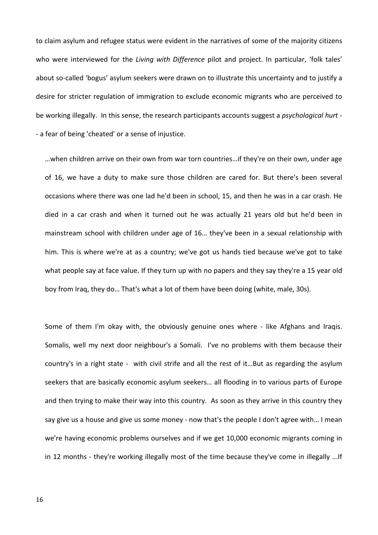to claim asylum and refugee status were evident in the narratives of some of the majority citizens who were interviewed for the *Living with Difference* pilot and project. In particular, 'folk tales' about so-called 'bogus' asylum seekers were drawn on to illustrate this uncertainty and to justify a desire for stricter regulation of immigration to exclude economic migrants who are perceived to be working illegally. In this sense, the research participants accounts suggest a *psychological hurt* - - a fear of being 'cheated' or a sense of injustice.

…when children arrive on their own from war torn countries…if they're on their own, under age of 16, we have a duty to make sure those children are cared for. But there's been several occasions where there was one lad he'd been in school, 15, and then he was in a car crash. He died in a car crash and when it turned out he was actually 21 years old but he'd been in mainstream school with children under age of 16… they've been in a sexual relationship with him. This is where we're at as a country; we've got us hands tied because we've got to take what people say at face value. If they turn up with no papers and they say they're a 15 year old boy from Iraq, they do… That's what a lot of them have been doing (white, male, 30s).

Some of them I'm okay with, the obviously genuine ones where - like Afghans and Iraqis. Somalis, well my next door neighbour's a Somali. I've no problems with them because their country's in a right state - with civil strife and all the rest of it…But as regarding the asylum seekers that are basically economic asylum seekers… all flooding in to various parts of Europe and then trying to make their way into this country. As soon as they arrive in this country they say give us a house and give us some money - now that's the people I don't agree with... I mean we're having economic problems ourselves and if we get 10,000 economic migrants coming in in 12 months - they're working illegally most of the time because they've come in illegally ...If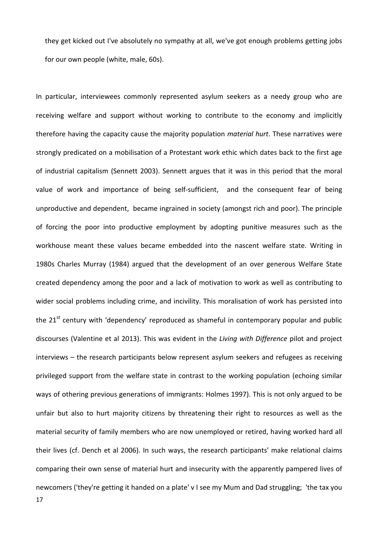they get kicked out I've absolutely no sympathy at all, we've got enough problems getting jobs for our own people (white, male, 60s).

17 In particular, interviewees commonly represented asylum seekers as a needy group who are receiving welfare and support without working to contribute to the economy and implicitly therefore having the capacity cause the majority population *material hurt*. These narratives were strongly predicated on a mobilisation of a Protestant work ethic which dates back to the first age of industrial capitalism (Sennett 2003). Sennett argues that it was in this period that the moral value of work and importance of being self-sufficient, and the consequent fear of being unproductive and dependent, became ingrained in society (amongst rich and poor). The principle of forcing the poor into productive employment by adopting punitive measures such as the workhouse meant these values became embedded into the nascent welfare state. Writing in 1980s Charles Murray (1984) argued that the development of an over generous Welfare State created dependency among the poor and a lack of motivation to work as well as contributing to wider social problems including crime, and incivility. This moralisation of work has persisted into the  $21<sup>st</sup>$  century with 'dependency' reproduced as shameful in contemporary popular and public discourses (Valentine et al 2013). This was evident in the *Living with Difference* pilot and project interviews – the research participants below represent asylum seekers and refugees as receiving privileged support from the welfare state in contrast to the working population (echoing similar ways of othering previous generations of immigrants: Holmes 1997). This is not only argued to be unfair but also to hurt majority citizens by threatening their right to resources as well as the material security of family members who are now unemployed or retired, having worked hard all their lives (cf. Dench et al 2006). In such ways, the research participants' make relational claims comparing their own sense of material hurt and insecurity with the apparently pampered lives of newcomers ('they're getting it handed on a plate' v I see my Mum and Dad struggling; 'the tax you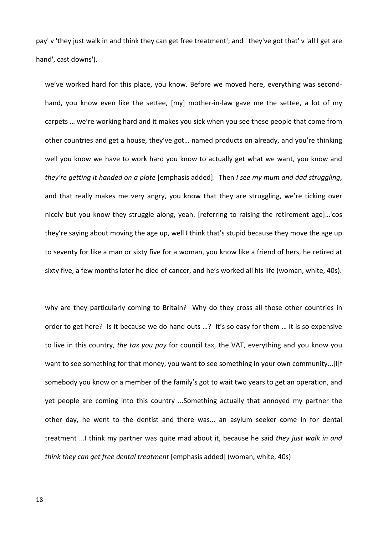pay' v 'they just walk in and think they can get free treatment'; and ' they've got that' v 'all I get are hand', cast downs').

we've worked hard for this place, you know. Before we moved here, everything was secondhand, you know even like the settee, [my] mother-in-law gave me the settee, a lot of my carpets … we're working hard and it makes you sick when you see these people that come from other countries and get a house, they've got… named products on already, and you're thinking well you know we have to work hard you know to actually get what we want, you know and *they're getting it handed on a plate* [emphasis added]. Then *I see my mum and dad struggling*, and that really makes me very angry, you know that they are struggling, we're ticking over nicely but you know they struggle along, yeah. [referring to raising the retirement age]…'cos they're saying about moving the age up, well I think that's stupid because they move the age up to seventy for like a man or sixty five for a woman, you know like a friend of hers, he retired at sixty five, a few months later he died of cancer, and he's worked all his life (woman, white, 40s).

why are they particularly coming to Britain? Why do they cross all those other countries in order to get here? Is it because we do hand outs …? It's so easy for them … it is so expensive to live in this country, *the tax you pay* for council tax, the VAT, everything and you know you want to see something for that money, you want to see something in your own community...[I]f somebody you know or a member of the family's got to wait two years to get an operation, and yet people are coming into this country ...Something actually that annoyed my partner the other day, he went to the dentist and there was... an asylum seeker come in for dental treatment ...I think my partner was quite mad about it, because he said *they just walk in and think they can get free dental treatment* [emphasis added] (woman, white, 40s)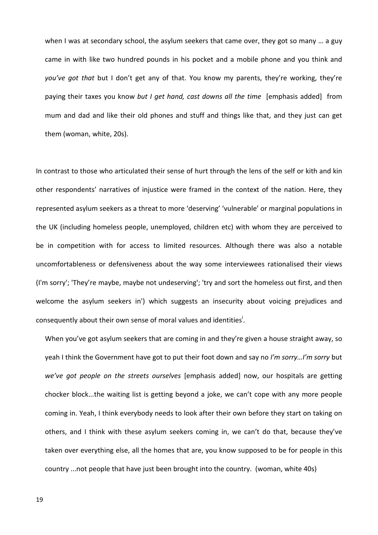when I was at secondary school, the asylum seekers that came over, they got so many ... a guy came in with like two hundred pounds in his pocket and a mobile phone and you think and *you've got that* but I don't get any of that. You know my parents, they're working, they're paying their taxes you know *but I get hand, cast downs all the time* [emphasis added] from mum and dad and like their old phones and stuff and things like that, and they just can get them (woman, white, 20s).

In contrast to those who articulated their sense of hurt through the lens of the self or kith and kin other respondents' narratives of injustice were framed in the context of the nation. Here, they represented asylum seekers as a threat to more 'deserving' 'vulnerable' or marginal populations in the UK (including homeless people, unemployed, children etc) with whom they are perceived to be in competition with for access to limited resources. Although there was also a notable uncomfortableness or defensiveness about the way some interviewees rationalised their views (I'm sorry'; 'They're maybe, maybe not undeserving'; 'try and sort the homeless out first, and then welcome the asylum seekers in') which suggests an insecurity about voicing prejudices and consequently about their own sense of moral values and identities<sup>i</sup>[.](#page-38-0)

When you've got asylum seekers that are coming in and they're given a house straight away, so yeah I think the Government have got to put their foot down and say no *I'm sorry…I'm sorry* but *we've got people on the streets ourselves* [emphasis added] now, our hospitals are getting chocker block...the waiting list is getting beyond a joke, we can't cope with any more people coming in. Yeah, I think everybody needs to look after their own before they start on taking on others, and I think with these asylum seekers coming in, we can't do that, because they've taken over everything else, all the homes that are, you know supposed to be for people in this country ...not people that have just been brought into the country. (woman, white 40s)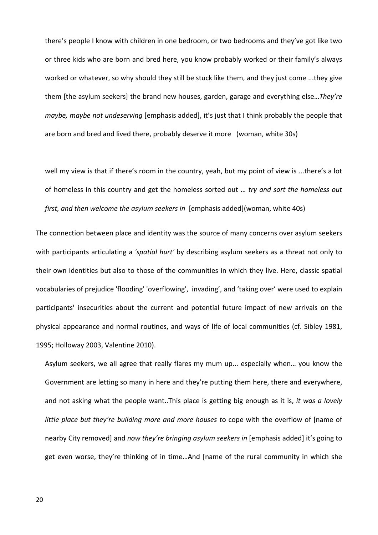there's people I know with children in one bedroom, or two bedrooms and they've got like two or three kids who are born and bred here, you know probably worked or their family's always worked or whatever, so why should they still be stuck like them, and they just come ...they give them [the asylum seekers] the brand new houses, garden, garage and everything else…*They're maybe, maybe not undeserving* [emphasis added], it's just that I think probably the people that are born and bred and lived there, probably deserve it more (woman, white 30s)

well my view is that if there's room in the country, yeah, but my point of view is ...there's a lot of homeless in this country and get the homeless sorted out … *try and sort the homeless out first, and then welcome the asylum seekers in* [emphasis added](woman, white 40s)

The connection between place and identity was the source of many concerns over asylum seekers with participants articulating a *'spatial hurt'* by describing asylum seekers as a threat not only to their own identities but also to those of the communities in which they live. Here, classic spatial vocabularies of prejudice 'flooding' 'overflowing', invading', and 'taking over' were used to explain participants' insecurities about the current and potential future impact of new arrivals on the physical appearance and normal routines, and ways of life of local communities (cf. Sibley 1981, 1995; Holloway 2003, Valentine 2010).

Asylum seekers, we all agree that really flares my mum up... especially when… you know the Government are letting so many in here and they're putting them here, there and everywhere, and not asking what the people want..This place is getting big enough as it is, *it was a lovely little place but they're building more and more houses t*o cope with the overflow of [name of nearby City removed] and *now they're bringing asylum seekers in* [emphasis added] it's going to get even worse, they're thinking of in time…And [name of the rural community in which she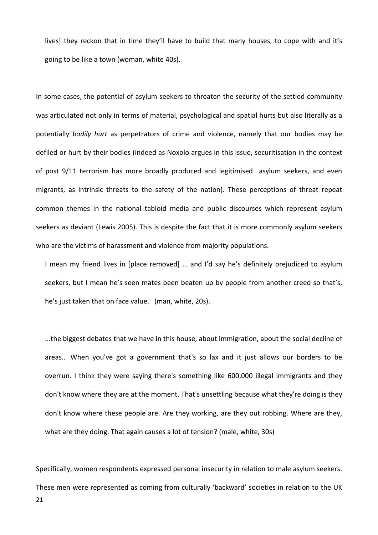lives] they reckon that in time they'll have to build that many houses, to cope with and it's going to be like a town (woman, white 40s).

In some cases, the potential of asylum seekers to threaten the security of the settled community was articulated not only in terms of material, psychological and spatial hurts but also literally as a potentially *bodily hurt* as perpetrators of crime and violence, namely that our bodies may be defiled or hurt by their bodies (indeed as Noxolo argues in this issue, securitisation in the context of post 9/11 terrorism has more broadly produced and legitimised asylum seekers, and even migrants, as intrinsic threats to the safety of the nation). These perceptions of threat repeat common themes in the national tabloid media and public discourses which represent asylum seekers as deviant (Lewis 2005). This is despite the fact that it is more commonly asylum seekers who are the victims of harassment and violence from majority populations.

I mean my friend lives in [place removed] … and I'd say he's definitely prejudiced to asylum seekers, but I mean he's seen mates been beaten up by people from another creed so that's, he's just taken that on face value. (man, white, 20s).

...the biggest debates that we have in this house, about immigration, about the social decline of areas… When you've got a government that's so lax and it just allows our borders to be overrun. I think they were saying there's something like 600,000 illegal immigrants and they don't know where they are at the moment. That's unsettling because what they're doing is they don't know where these people are. Are they working, are they out robbing. Where are they, what are they doing. That again causes a lot of tension? (male, white, 30s)

21 Specifically, women respondents expressed personal insecurity in relation to male asylum seekers. These men were represented as coming from culturally 'backward' societies in relation to the UK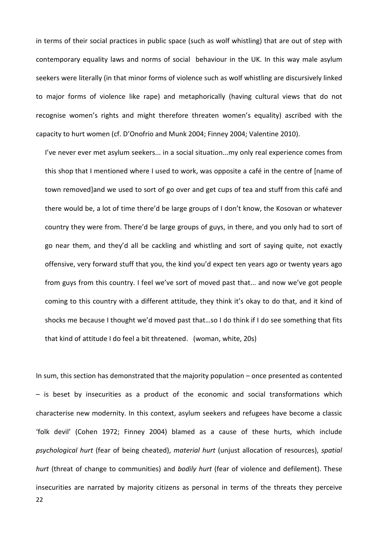in terms of their social practices in public space (such as wolf whistling) that are out of step with contemporary equality laws and norms of social behaviour in the UK. In this way male asylum seekers were literally (in that minor forms of violence such as wolf whistling are discursively linked to major forms of violence like rape) and metaphorically (having cultural views that do not recognise women's rights and might therefore threaten women's equality) ascribed with the capacity to hurt women (cf. D'Onofrio and Munk 2004; Finney 2004; Valentine 2010).

I've never ever met asylum seekers... in a social situation...my only real experience comes from this shop that I mentioned where I used to work, was opposite a café in the centre of [name of town removed]and we used to sort of go over and get cups of tea and stuff from this café and there would be, a lot of time there'd be large groups of I don't know, the Kosovan or whatever country they were from. There'd be large groups of guys, in there, and you only had to sort of go near them, and they'd all be cackling and whistling and sort of saying quite, not exactly offensive, very forward stuff that you, the kind you'd expect ten years ago or twenty years ago from guys from this country. I feel we've sort of moved past that... and now we've got people coming to this country with a different attitude, they think it's okay to do that, and it kind of shocks me because I thought we'd moved past that…so I do think if I do see something that fits that kind of attitude I do feel a bit threatened. (woman, white, 20s)

22 In sum, this section has demonstrated that the majority population – once presented as contented – is beset by insecurities as a product of the economic and social transformations which characterise new modernity. In this context, asylum seekers and refugees have become a classic 'folk devil' (Cohen 1972; Finney 2004) blamed as a cause of these hurts, which include *psychological hurt* (fear of being cheated), *material hurt* (unjust allocation of resources), *spatial hurt* (threat of change to communities) and *bodily hurt* (fear of violence and defilement). These insecurities are narrated by majority citizens as personal in terms of the threats they perceive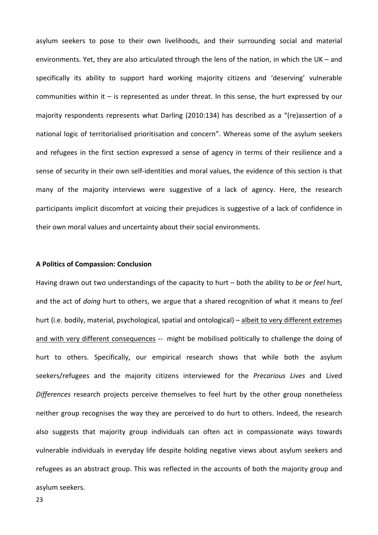asylum seekers to pose to their own livelihoods, and their surrounding social and material environments. Yet, they are also articulated through the lens of the nation, in which the UK – and specifically its ability to support hard working majority citizens and 'deserving' vulnerable communities within it – is represented as under threat. In this sense, the hurt expressed by our majority respondents represents what Darling (2010:134) has described as a "(re)assertion of a national logic of territorialised prioritisation and concern". Whereas some of the asylum seekers and refugees in the first section expressed a sense of agency in terms of their resilience and a sense of security in their own self-identities and moral values, the evidence of this section is that many of the majority interviews were suggestive of a lack of agency. Here, the research participants implicit discomfort at voicing their prejudices is suggestive of a lack of confidence in their own moral values and uncertainty about their social environments.

## **A Politics of Compassion: Conclusion**

Having drawn out two understandings of the capacity to hurt – both the ability to *be or feel* hurt, and the act of *doing* hurt to others, we argue that a shared recognition of what it means to *feel* hurt (i.e. bodily, material, psychological, spatial and ontological) – albeit to very different extremes and with very different consequences -- might be mobilised politically to challenge the doing of hurt to others. Specifically, our empirical research shows that while both the asylum seekers/refugees and the majority citizens interviewed for the *Precarious Lives* and Lived *Differences* research projects perceive themselves to feel hurt by the other group nonetheless neither group recognises the way they are perceived to do hurt to others. Indeed, the research also suggests that majority group individuals can often act in compassionate ways towards vulnerable individuals in everyday life despite holding negative views about asylum seekers and refugees as an abstract group. This was reflected in the accounts of both the majority group and asylum seekers.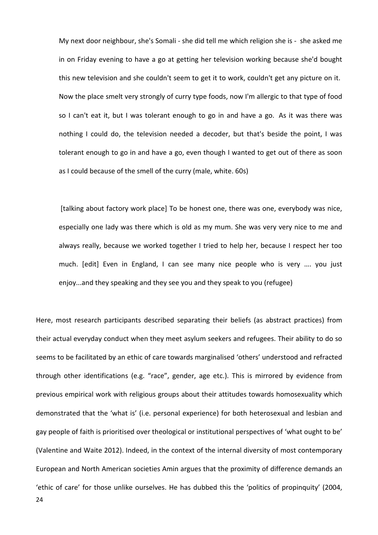My next door neighbour, she's Somali - she did tell me which religion she is - she asked me in on Friday evening to have a go at getting her television working because she'd bought this new television and she couldn't seem to get it to work, couldn't get any picture on it. Now the place smelt very strongly of curry type foods, now I'm allergic to that type of food so I can't eat it, but I was tolerant enough to go in and have a go. As it was there was nothing I could do, the television needed a decoder, but that's beside the point, I was tolerant enough to go in and have a go, even though I wanted to get out of there as soon as I could because of the smell of the curry (male, white. 60s)

[talking about factory work place] To be honest one, there was one, everybody was nice, especially one lady was there which is old as my mum. She was very very nice to me and always really, because we worked together I tried to help her, because I respect her too much. [edit] Even in England, I can see many nice people who is very …. you just enjoy...and they speaking and they see you and they speak to you (refugee)

24 Here, most research participants described separating their beliefs (as abstract practices) from their actual everyday conduct when they meet asylum seekers and refugees. Their ability to do so seems to be facilitated by an ethic of care towards marginalised 'others' understood and refracted through other identifications (e.g. "race", gender, age etc.). This is mirrored by evidence from previous empirical work with religious groups about their attitudes towards homosexuality which demonstrated that the 'what is' (i.e. personal experience) for both heterosexual and lesbian and gay people of faith is prioritised over theological or institutional perspectives of 'what ought to be' (Valentine and Waite 2012). Indeed, in the context of the internal diversity of most contemporary European and North American societies Amin argues that the proximity of difference demands an 'ethic of care' for those unlike ourselves. He has dubbed this the 'politics of propinquity' (2004,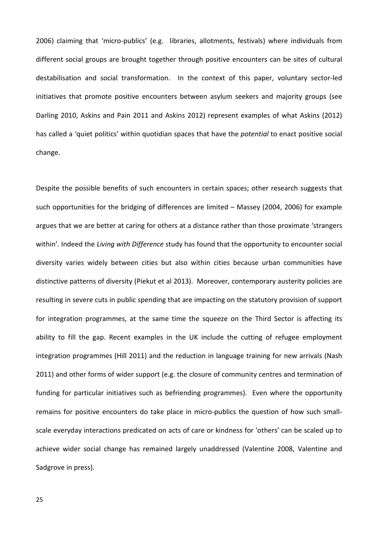2006) claiming that 'micro-publics' (e.g. libraries, allotments, festivals) where individuals from different social groups are brought together through positive encounters can be sites of cultural destabilisation and social transformation. In the context of this paper, voluntary sector-led initiatives that promote positive encounters between asylum seekers and majority groups (see Darling 2010, Askins and Pain 2011 and Askins 2012) represent examples of what Askins (2012) has called a 'quiet politics' within quotidian spaces that have the *potential* to enact positive social change.

Despite the possible benefits of such encounters in certain spaces; other research suggests that such opportunities for the bridging of differences are limited – Massey (2004, 2006) for example argues that we are better at caring for others at a distance rather than those proximate 'strangers within'. Indeed the *Living with Difference* study has found that the opportunity to encounter social diversity varies widely between cities but also within cities because urban communities have distinctive patterns of diversity (Piekut et al 2013). Moreover, contemporary austerity policies are resulting in severe cuts in public spending that are impacting on the statutory provision of support for integration programmes, at the same time the squeeze on the Third Sector is affecting its ability to fill the gap. Recent examples in the UK include the cutting of refugee employment integration programmes (Hill 2011) and the reduction in language training for new arrivals (Nash 2011) and other forms of wider support (e.g. the closure of community centres and termination of funding for particular initiatives such as befriending programmes). Even where the opportunity remains for positive encounters do take place in micro-publics the question of how such smallscale everyday interactions predicated on acts of care or kindness for 'others' can be scaled up to achieve wider social change has remained largely unaddressed (Valentine 2008, Valentine and Sadgrove in press).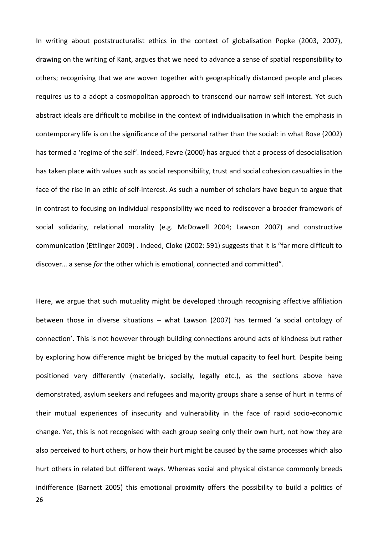In writing about poststructuralist ethics in the context of globalisation Popke (2003, 2007), drawing on the writing of Kant, argues that we need to advance a sense of spatial responsibility to others; recognising that we are woven together with geographically distanced people and places requires us to a adopt a cosmopolitan approach to transcend our narrow self-interest. Yet such abstract ideals are difficult to mobilise in the context of individualisation in which the emphasis in contemporary life is on the significance of the personal rather than the social: in what Rose (2002) has termed a 'regime of the self'. Indeed, Fevre (2000) has argued that a process of desocialisation has taken place with values such as social responsibility, trust and social cohesion casualties in the face of the rise in an ethic of self-interest. As such a number of scholars have begun to argue that in contrast to focusing on individual responsibility we need to rediscover a broader framework of social solidarity, relational morality (e.g. McDowell 2004; Lawson 2007) and constructive communication (Ettlinger 2009) . Indeed, Cloke (2002: 591) suggests that it is "far more difficult to discover… a sense *for* the other which is emotional, connected and committed".

26 Here, we argue that such mutuality might be developed through recognising affective affiliation between those in diverse situations – what Lawson (2007) has termed 'a social ontology of connection'. This is not however through building connections around acts of kindness but rather by exploring how difference might be bridged by the mutual capacity to feel hurt. Despite being positioned very differently (materially, socially, legally etc.), as the sections above have demonstrated, asylum seekers and refugees and majority groups share a sense of hurt in terms of their mutual experiences of insecurity and vulnerability in the face of rapid socio-economic change. Yet, this is not recognised with each group seeing only their own hurt, not how they are also perceived to hurt others, or how their hurt might be caused by the same processes which also hurt others in related but different ways. Whereas social and physical distance commonly breeds indifference (Barnett 2005) this emotional proximity offers the possibility to build a politics of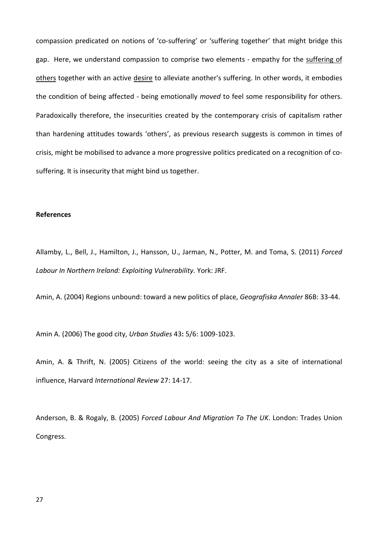compassion predicated on notions of 'co-suffering' or 'suffering together' that might bridge this gap.Here, we understand compassion to comprise two elements - empathy for the [suffering](http://en.wikipedia.org/wiki/Suffering) of others together with an active [desire](http://en.wikipedia.org/wiki/Desire_(emotion)) to alleviate another's suffering. In other words, it embodies the condition of being affected - being emotionally *moved* to feel some responsibility for others. Paradoxically therefore, the insecurities created by the contemporary crisis of capitalism rather than hardening attitudes towards 'others', as previous research suggests is common in times of crisis, might be mobilised to advance a more progressive politics predicated on a recognition of cosuffering. It is insecurity that might bind us together.

# **References**

Allamby, L., Bell, J., Hamilton, J., Hansson, U., Jarman, N., Potter, M. and Toma, S. (2011) *Forced Labour In Northern Ireland: Exploiting Vulnerability.* York: JRF.

Amin, A. (2004) Regions unbound: toward a new politics of place, *Geografiska Annaler* 86B: 33-44.

Amin A. (2006) The good city, *Urban Studies* 43**:** 5/6: 1009-1023.

Amin, A. & Thrift, N. (2005) Citizens of the world: seeing the city as a site of international influence, Harvard *International Review* 27: 14-17.

Anderson, B. & Rogaly, B. (2005) *Forced Labour And Migration To The UK*. London: Trades Union Congress.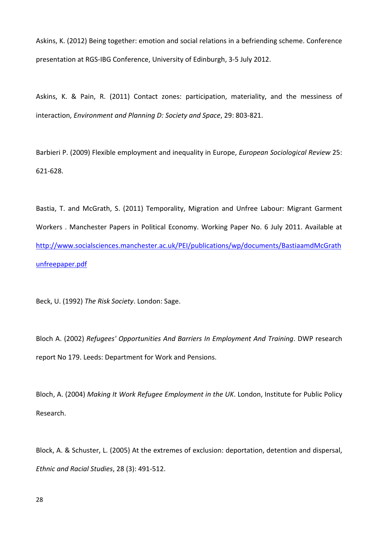Askins, K. (2012) Being together: emotion and social relations in a befriending scheme. Conference presentation at RGS-IBG Conference, University of Edinburgh, 3-5 July 2012.

Askins, K. & Pain, R. (2011) Contact zones: participation, materiality, and the messiness of interaction, *Environment and Planning D: Society and Space*, 29: 803-821.

Barbieri P. (2009) Flexible employment and inequality in Europe, *European Sociological Review* 25: 621-628.

Bastia, T. and McGrath, S. (2011) Temporality, Migration and Unfree Labour: Migrant Garment Workers . Manchester Papers in Political Economy. Working Paper No. 6 July 2011. Available at [http://www.socialsciences.manchester.ac.uk/PEI/publications/wp/documents/BastiaamdMcGrath](http://www.socialsciences.manchester.ac.uk/PEI/publications/wp/documents/BastiaamdMcGrathunfreepaper.pdf) [unfreepaper.pdf](http://www.socialsciences.manchester.ac.uk/PEI/publications/wp/documents/BastiaamdMcGrathunfreepaper.pdf)

Beck, U. (1992) *The Risk Society*. London: Sage.

Bloch A. (2002) *Refugees' Opportunities And Barriers In Employment And Training*. DWP research report No 179. Leeds: Department for Work and Pensions.

Bloch, A. (2004) *Making It Work Refugee Employment in the UK*. London, Institute for Public Policy Research.

Block, A. & Schuster, L. (2005) At the extremes of exclusion: deportation, detention and dispersal, *Ethnic and Racial Studies*, 28 (3): 491-512.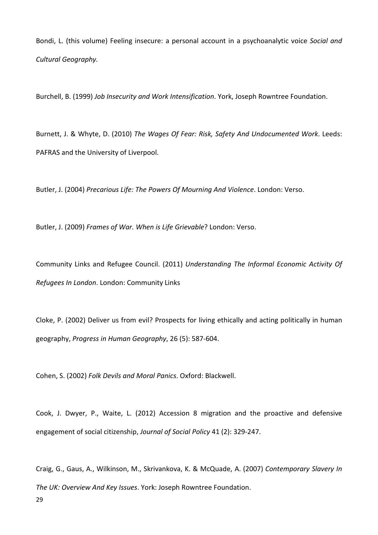Bondi, L. (this volume) Feeling insecure: a personal account in a psychoanalytic voice *Social and Cultural Geography.*

Burchell, B. (1999) *Job Insecurity and Work Intensification*. York, Joseph Rowntree Foundation.

Burnett, J. & Whyte, D. (2010) *The Wages Of Fear: Risk, Safety And Undocumented Work*. Leeds: PAFRAS and the University of Liverpool.

Butler, J. (2004) *Precarious Life: The Powers Of Mourning And Violence*. London: Verso.

Butler, J. (2009) *Frames of War. When is Life Grievable*? London: Verso.

Community Links and Refugee Council. (2011) *Understanding The Informal Economic Activity Of Refugees In London*. London: Community Links

Cloke, P. (2002) Deliver us from evil? Prospects for living ethically and acting politically in human geography, *Progress in Human Geography*, 26 (5): 587-604.

Cohen, S. (2002) *Folk Devils and Moral Panics*. Oxford: Blackwell.

Cook, J. Dwyer, P., Waite, L. (2012) Accession 8 migration and the proactive and defensive engagement of social citizenship, *Journal of Social Policy* 41 (2): 329-247.

29 Craig, G., Gaus, A., Wilkinson, M., Skrivankova, K. & McQuade, A. (2007) *Contemporary Slavery In The UK: Overview And Key Issues*. York: Joseph Rowntree Foundation.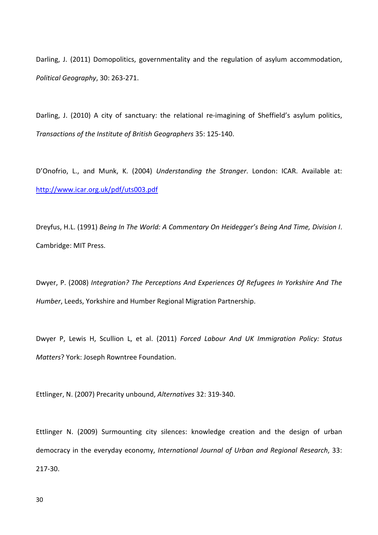Darling, J. (2011) Domopolitics, governmentality and the regulation of asylum accommodation, *Political Geography*, 30: 263-271.

Darling, J. (2010) A city of sanctuary: the relational re-imagining of Sheffield's asylum politics, *Transactions of the Institute of British Geographers* 35: 125-140.

D'Onofrio, L., and Munk, K. (2004) *Understanding the Stranger*. London: ICAR. Available at: <http://www.icar.org.uk/pdf/uts003.pdf>

Dreyfus, H.L. (1991) *Being In The World: A Commentary On Heidegger's Being And Time, Division I*. Cambridge: MIT Press.

Dwyer, P. (2008) *Integration? The Perceptions And Experiences Of Refugees In Yorkshire And The Humber*, Leeds, Yorkshire and Humber Regional Migration Partnership.

Dwyer P, Lewis H, Scullion L, et al. (2011) *Forced Labour And UK Immigration Policy: Status Matters*? York: Joseph Rowntree Foundation.

Ettlinger, N. (2007) Precarity unbound, *Alternatives* 32: 319-340.

Ettlinger N. (2009) Surmounting city silences: knowledge creation and the design of urban democracy in the everyday economy, *International Journal of Urban and Regional Research*, 33: 217-30.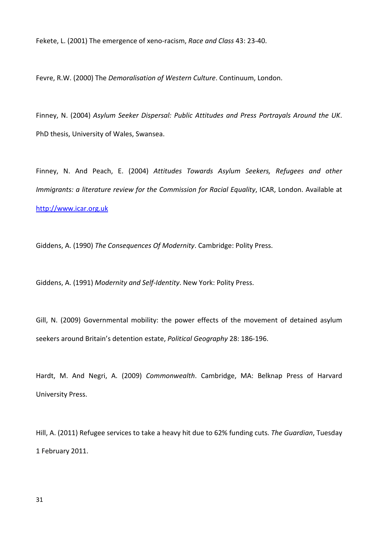Fekete, L. (2001) The emergence of xeno-racism, *Race and Class* 43: 23-40.

Fevre, R.W. (2000) The *Demoralisation of Western Culture*. Continuum, London.

Finney, N. (2004) *Asylum Seeker Dispersal: Public Attitudes and Press Portrayals Around the UK*. PhD thesis, University of Wales, Swansea.

Finney, N. And Peach, E. (2004) *Attitudes Towards Asylum Seekers, Refugees and other Immigrants: a literature review for the Commission for Racial Equality*, ICAR, London. Available at [http://www.icar.org.uk](http://www.icar.org.uk/)

Giddens, A. (1990) *The Consequences Of Modernity*. Cambridge: Polity Press.

Giddens, A. (1991) *Modernity and Self-Identity*. New York: Polity Press.

Gill, N. (2009) Governmental mobility: the power effects of the movement of detained asylum seekers around Britain's detention estate, *Political Geography* 28: 186-196.

Hardt, M. And Negri, A. (2009) *Commonwealth*. Cambridge, MA: Belknap Press of Harvard University Press.

Hill, A. (2011) Refugee services to take a heavy hit due to 62% funding cuts. *The Guardian*, Tuesday 1 February 2011.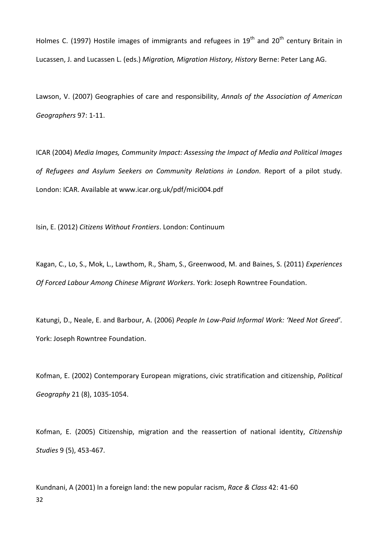Holmes C. (1997) Hostile images of immigrants and refugees in  $19<sup>th</sup>$  and  $20<sup>th</sup>$  century Britain in Lucassen, J. and Lucassen L. (eds.) *Migration, Migration History, History* Berne: Peter Lang AG.

Lawson, V. (2007) Geographies of care and responsibility, *Annals of the Association of American Geographers* 97: 1-11.

ICAR (2004) *Media Images, Community Impact: Assessing the Impact of Media and Political Images of Refugees and Asylum Seekers on Community Relations in London*. Report of a pilot study. London: ICAR. Available at www.icar.org.uk/pdf/mici004.pdf

Isin, E. (2012) *Citizens Without Frontiers*. London: Continuum

Kagan, C., Lo, S., Mok, L., Lawthom, R., Sham, S., Greenwood, M. and Baines, S. (2011) *Experiences Of Forced Labour Among Chinese Migrant Workers*. York: Joseph Rowntree Foundation.

Katungi, D., Neale, E. and Barbour, A. (2006) *People In Low-Paid Informal Work: 'Need Not Greed'*. York: Joseph Rowntree Foundation.

Kofman, E. (2002) Contemporary European migrations, civic stratification and citizenship, *Political Geography* 21 (8), 1035-1054.

Kofman, E. (2005) Citizenship, migration and the reassertion of national identity, *Citizenship Studies* 9 (5), 453-467.

32 Kundnani, A (2001) In a foreign land: the new popular racism, *Race & Class* 42: 41-60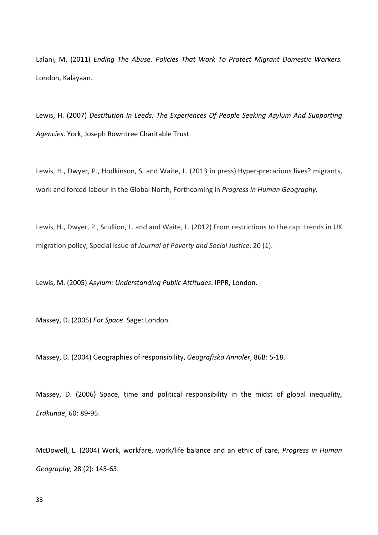Lalani, M. (2011) *Ending The Abuse. Policies That Work To Protect Migrant Domestic Workers.* London, Kalayaan.

Lewis, H. (2007) *Destitution In Leeds: The Experiences Of People Seeking Asylum And Supporting Agencies*. York, Joseph Rowntree Charitable Trust.

Lewis, H., Dwyer, P., Hodkinson, S. and Waite, L. (2013 in press) Hyper-precarious lives? migrants, work and forced labour in the Global North, Forthcoming in *Progress in Human Geography*.

Lewis, H., Dwyer, P., Scullion, L. and and Waite, L. (2012) From restrictions to the cap: trends in UK migration policy, Special Issue of *Journal of Poverty and Social Justice*, 20 (1).

Lewis, M. (2005) *Asylum: Understanding Public Attitudes*. IPPR, London.

Massey, D. (2005) *For Space*. Sage: London.

Massey, D. (2004) Geographies of responsibility, *Geografiska Annaler*, 86B: 5-18.

Massey, D. (2006) Space, time and political responsibility in the midst of global inequality, *Erdkunde*, 60: 89-95.

McDowell, L. (2004) Work, workfare, work/life balance and an ethic of care, *Progress in Human Geography*, 28 (2): 145-63.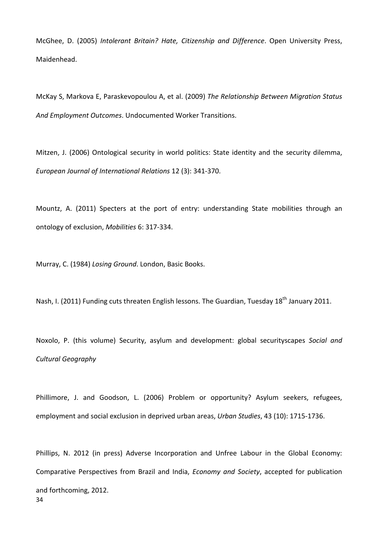McGhee, D. (2005) *Intolerant Britain? Hate, Citizenship and Difference*. Open University Press, Maidenhead.

McKay S, Markova E, Paraskevopoulou A, et al. (2009) *The Relationship Between Migration Status And Employment Outcomes*. Undocumented Worker Transitions.

Mitzen, J. (2006) Ontological security in world politics: State identity and the security dilemma, *European Journal of International Relations* 12 (3): 341-370.

Mountz, A. (2011) Specters at the port of entry: understanding State mobilities through an ontology of exclusion, *Mobilities* 6: 317-334.

Murray, C. (1984) *Losing Ground*. London, Basic Books.

Nash, I. (2011) Funding cuts threaten English lessons. The Guardian, Tuesday 18<sup>th</sup> January 2011.

Noxolo, P. (this volume) Security, asylum and development: global securityscapes *Social and Cultural Geography*

Phillimore, J. and Goodson, L. (2006) Problem or opportunity? Asylum seekers, refugees, employment and social exclusion in deprived urban areas, *Urban Studies*, 43 (10): 1715-1736.

34 Phillips, N. 2012 (in press) Adverse Incorporation and Unfree Labour in the Global Economy: Comparative Perspectives from Brazil and India, *Economy and Society*, accepted for publication and forthcoming, 2012.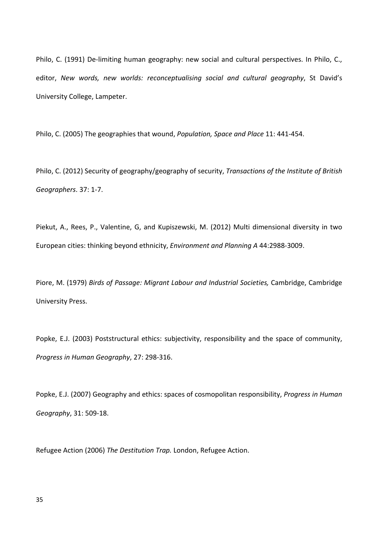Philo, C. (1991) De-limiting human geography: new social and cultural perspectives. In Philo, C., editor, *New words, new worlds: reconceptualising social and cultural geography*, St David's University College, Lampeter.

Philo, C. (2005) The geographies that wound, *Population, Space and Place* 11: 441-454.

Philo, C. (2012) Security of geography/geography of security, *Transactions of the Institute of British Geographers*. 37: 1-7.

Piekut, A., Rees, P., Valentine, G, and Kupiszewski, M. (2012) Multi dimensional diversity in two European cities: thinking beyond ethnicity, *Environment and Planning A* 44:2988-3009.

Piore, M. (1979) *Birds of Passage: Migrant Labour and Industrial Societies,* Cambridge, Cambridge University Press.

Popke, E.J. (2003) Poststructural ethics: subjectivity, responsibility and the space of community, *Progress in Human Geography*, 27: 298-316.

Popke, E.J. (2007) Geography and ethics: spaces of cosmopolitan responsibility, *Progress in Human Geography*, 31: 509-18.

Refugee Action (2006) *The Destitution Trap.* London, Refugee Action.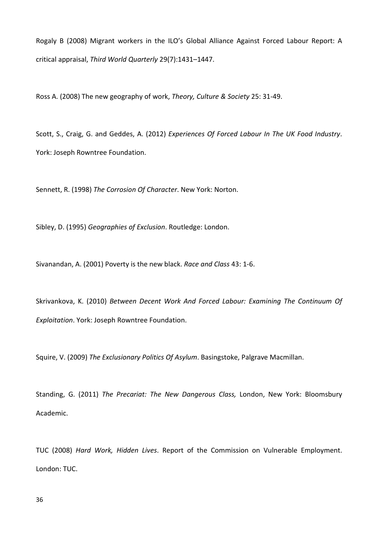Rogaly B (2008) Migrant workers in the ILO's Global Alliance Against Forced Labour Report: A critical appraisal, *Third World Quarterly* 29(7):1431–1447.

Ross A. (2008) The new geography of work, *Theory, Culture & Society* 25: 31-49.

Scott, S., Craig, G. and Geddes, A. (2012) *Experiences Of Forced Labour In The UK Food Industry*. York: Joseph Rowntree Foundation.

Sennett, R. (1998) *The Corrosion Of Character*. New York: Norton.

Sibley, D. (1995) *Geographies of Exclusion*. Routledge: London.

Sivanandan, A. (2001) Poverty is the new black. *Race and Class* 43: 1-6.

Skrivankova, K. (2010) *Between Decent Work And Forced Labour: Examining The Continuum Of Exploitation*. York: Joseph Rowntree Foundation.

Squire, V. (2009) *The Exclusionary Politics Of Asylum*. Basingstoke, Palgrave Macmillan.

Standing, G. (2011) *The Precariat: The New Dangerous Class,* London, New York: Bloomsbury Academic.

TUC (2008) *Hard Work, Hidden Lives*. Report of the Commission on Vulnerable Employment. London: TUC.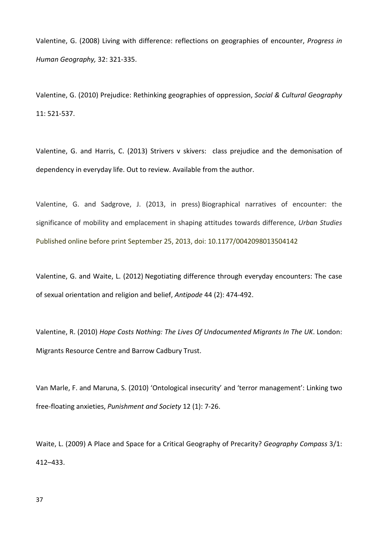Valentine, G. (2008) Living with difference: reflections on geographies of encounter, *Progress in Human Geography,* 32: 321-335.

Valentine, G. (2010) Prejudice: Rethinking geographies of oppression, *Social & Cultural Geography* 11: 521-537.

Valentine, G. and Harris, C. (2013) Strivers v skivers: class prejudice and the demonisation of dependency in everyday life. Out to review. Available from the author.

Valentine, G. and Sadgrove, J. (2013, in press) Biographical narratives of encounter: the significance of mobility and emplacement in shaping attitudes towards difference, *Urban Studies* Published online before print September 25, 2013, doi: 10.1177/0042098013504142

Valentine, G. and Waite, L. (2012) Negotiating difference through everyday encounters: The case of sexual orientation and religion and belief, *Antipode* 44 (2): 474-492.

Valentine, R. (2010) *Hope Costs Nothing: The Lives Of Undocumented Migrants In The UK*. London: Migrants Resource Centre and Barrow Cadbury Trust.

Van Marle, F. and Maruna, S. (2010) 'Ontological insecurity' and 'terror management': Linking two free-floating anxieties, *Punishment and Society* 12 (1): 7-26.

Waite, L. (2009) A Place and Space for a Critical Geography of Precarity? *Geography Compass* 3/1: 412–433.